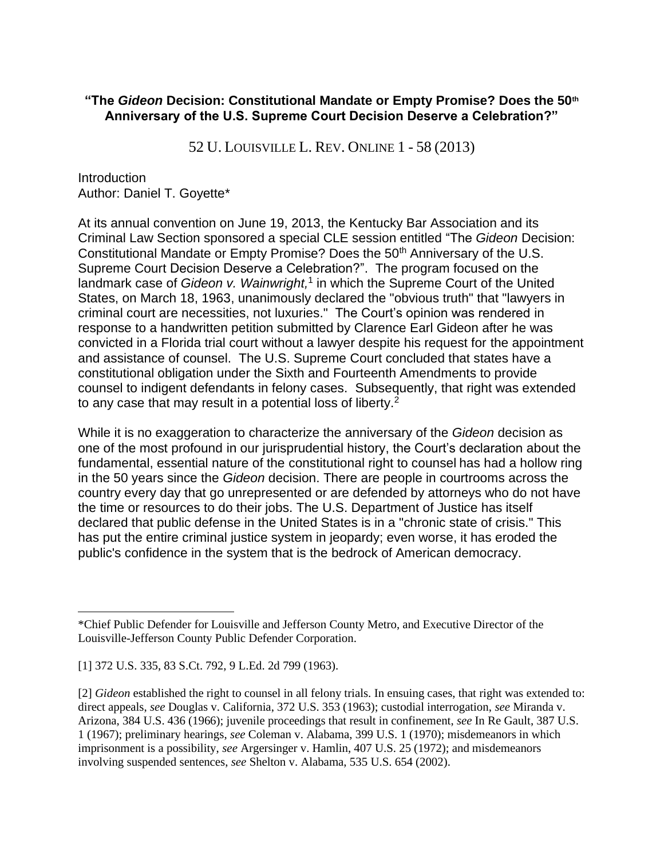## **"The** *Gideon* **Decision: Constitutional Mandate or Empty Promise? Does the 50th Anniversary of the U.S. Supreme Court Decision Deserve a Celebration?"**

52 U. LOUISVILLE L. REV. ONLINE 1 - 58 (2013)

Introduction Author: Daniel T. Goyette\*

At its annual convention on June 19, 2013, the Kentucky Bar Association and its Criminal Law Section sponsored a special CLE session entitled "The *Gideon* Decision: Constitutional Mandate or Empty Promise? Does the 50<sup>th</sup> Anniversary of the U.S. Supreme Court Decision Deserve a Celebration?". The program focused on the landmark case of Gideon v. Wainwright,<sup>1</sup> in which the Supreme Court of the United States, on March 18, 1963, unanimously declared the "obvious truth" that "lawyers in criminal court are necessities, not luxuries." The Court's opinion was rendered in response to a handwritten petition submitted by Clarence Earl Gideon after he was convicted in a Florida trial court without a lawyer despite his request for the appointment and assistance of counsel. The U.S. Supreme Court concluded that states have a constitutional obligation under the Sixth and Fourteenth Amendments to provide counsel to indigent defendants in felony cases. Subsequently, that right was extended to any case that may result in a potential loss of liberty. $2$ 

While it is no exaggeration to characterize the anniversary of the *Gideon* decision as one of the most profound in our jurisprudential history, the Court's declaration about the fundamental, essential nature of the constitutional right to counsel has had a hollow ring in the 50 years since the *Gideon* decision. There are people in courtrooms across the country every day that go unrepresented or are defended by attorneys who do not have the time or resources to do their jobs. The U.S. Department of Justice has itself declared that public defense in the United States is in a "chronic state of crisis." This has put the entire criminal justice system in jeopardy; even worse, it has eroded the public's confidence in the system that is the bedrock of American democracy.

[1] 372 U.S. 335, 83 S.Ct. 792, 9 L.Ed. 2d 799 (1963).

<sup>\*</sup>Chief Public Defender for Louisville and Jefferson County Metro, and Executive Director of the Louisville-Jefferson County Public Defender Corporation.

<sup>[2]</sup> *Gideon* established the right to counsel in all felony trials. In ensuing cases, that right was extended to: direct appeals, *see* Douglas v. California, 372 U.S. 353 (1963); custodial interrogation, *see* Miranda v. Arizona, 384 U.S. 436 (1966); juvenile proceedings that result in confinement, *see* In Re Gault, 387 U.S. 1 (1967); preliminary hearings, *see* Coleman v. Alabama, 399 U.S. 1 (1970); misdemeanors in which imprisonment is a possibility, *see* Argersinger v. Hamlin, 407 U.S. 25 (1972); and misdemeanors involving suspended sentences, *see* Shelton v. Alabama, 535 U.S. 654 (2002).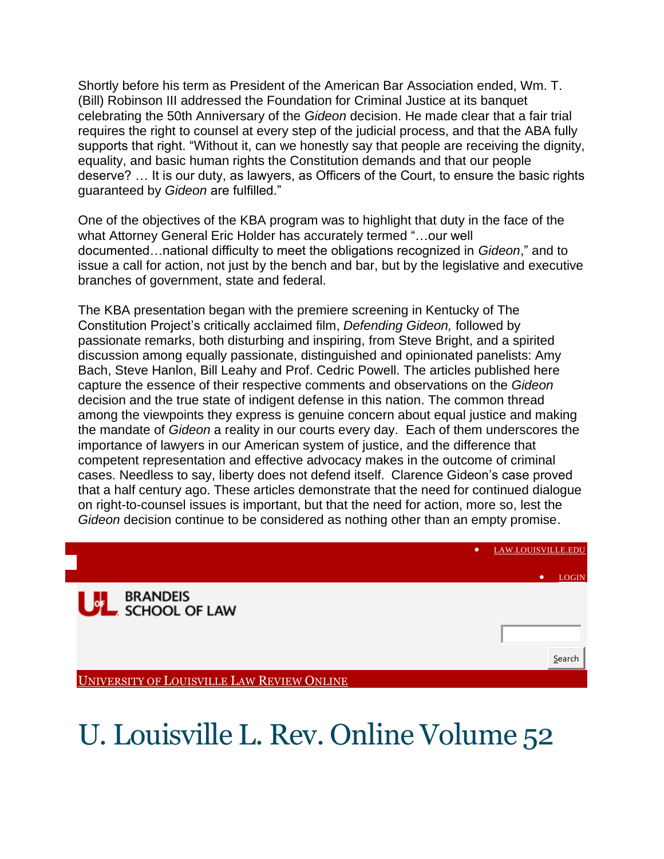Shortly before his term as President of the American Bar Association ended, Wm. T. (Bill) Robinson III addressed the Foundation for Criminal Justice at its banquet celebrating the 50th Anniversary of the *Gideon* decision. He made clear that a fair trial requires the right to counsel at every step of the judicial process, and that the ABA fully supports that right. "Without it, can we honestly say that people are receiving the dignity, equality, and basic human rights the Constitution demands and that our people deserve? … It is our duty, as lawyers, as Officers of the Court, to ensure the basic rights guaranteed by *Gideon* are fulfilled."

One of the objectives of the KBA program was to highlight that duty in the face of the what Attorney General Eric Holder has accurately termed "…our well documented…national difficulty to meet the obligations recognized in *Gideon*," and to issue a call for action, not just by the bench and bar, but by the legislative and executive branches of government, state and federal.

The KBA presentation began with the premiere screening in Kentucky of The Constitution Project's critically acclaimed film, *Defending Gideon,* followed by passionate remarks, both disturbing and inspiring, from Steve Bright, and a spirited discussion among equally passionate, distinguished and opinionated panelists: Amy Bach, Steve Hanlon, Bill Leahy and Prof. Cedric Powell. The articles published here capture the essence of their respective comments and observations on the *Gideon* decision and the true state of indigent defense in this nation. The common thread among the viewpoints they express is genuine concern about equal justice and making the mandate of *Gideon* a reality in our courts every day. Each of them underscores the importance of lawyers in our American system of justice, and the difference that competent representation and effective advocacy makes in the outcome of criminal cases. Needless to say, liberty does not defend itself. Clarence Gideon's case proved that a half century ago. These articles demonstrate that the need for continued dialogue on right-to-counsel issues is important, but that the need for action, more so, lest the *Gideon* decision continue to be considered as nothing other than an empty promise.



## U. Louisville L. Rev. Online Volume 52